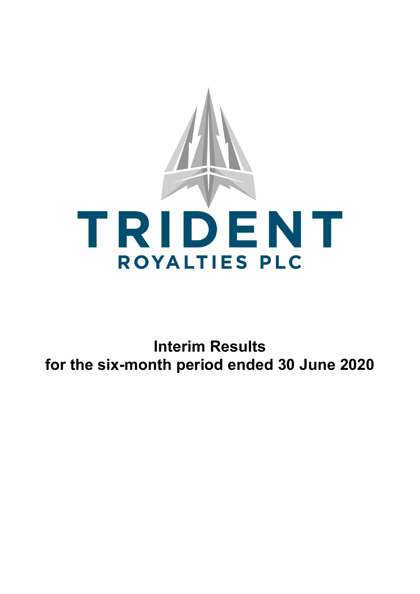

**Interim Results for the six-month period ended 30 June 2020**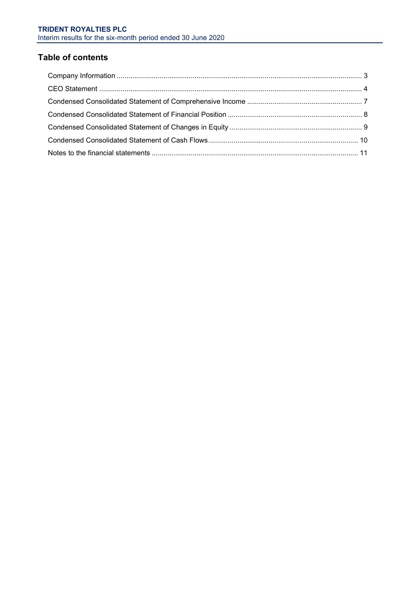# **Table of contents**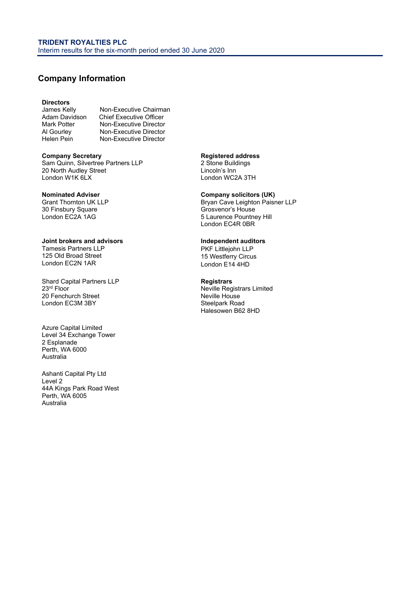# <span id="page-2-0"></span>**Company Information**

# **Directors**

James Kelly Non-Executive Chairman<br>Adam Davidson Chief Executive Officer Adam Davidson Chief Executive Officer<br>
Mark Potter Mon-Executive Director Mark Potter Mon-Executive Director<br>Al Gourley Mon-Executive Director Al Gourley **Non-Executive Director**<br>
Helen Pein **Non-Executive Director** Non-Executive Director

**Company Secretary**  Sam Quinn, Silvertree Partners LLP 20 North Audley Street London W1K 6LX

### **Nominated Adviser**

Grant Thornton UK LLP 30 Finsbury Square London EC2A 1AG

**Joint brokers and advisors**  Tamesis Partners LLP 125 Old Broad Street London EC2N 1AR

Shard Capital Partners LLP 23<sup>rd</sup> Floor 20 Fenchurch Street London EC3M 3BY

Azure Capital Limited Level 34 Exchange Tower 2 Esplanade Perth, WA 6000 Australia

Ashanti Capital Pty Ltd Level 2 44A Kings Park Road West Perth, WA 6005 Australia

**Registered address**  2 Stone Buildings

Lincoln's Inn London WC2A 3TH

#### **Company solicitors (UK)**

Bryan Cave Leighton Paisner LLP Grosvenor's House 5 Laurence Pountney Hill London EC4R 0BR

#### **Independent auditors**

PKF Littlejohn LLP 15 Westferry Circus London E14 4HD

**Registrars**  Neville Registrars Limited Neville House Steelpark Road Halesowen B62 8HD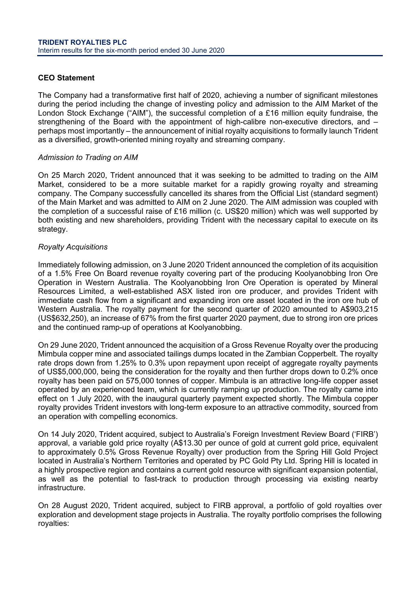# <span id="page-3-0"></span>**CEO Statement**

The Company had a transformative first half of 2020, achieving a number of significant milestones during the period including the change of investing policy and admission to the AIM Market of the London Stock Exchange ("AIM"), the successful completion of a £16 million equity fundraise, the strengthening of the Board with the appointment of high-calibre non-executive directors, and – perhaps most importantly – the announcement of initial royalty acquisitions to formally launch Trident as a diversified, growth-oriented mining royalty and streaming company.

# *Admission to Trading on AIM*

On 25 March 2020, Trident announced that it was seeking to be admitted to trading on the AIM Market, considered to be a more suitable market for a rapidly growing royalty and streaming company. The Company successfully cancelled its shares from the Official List (standard segment) of the Main Market and was admitted to AIM on 2 June 2020. The AIM admission was coupled with the completion of a successful raise of £16 million (c. US\$20 million) which was well supported by both existing and new shareholders, providing Trident with the necessary capital to execute on its strategy.

# *Royalty Acquisitions*

Immediately following admission, on 3 June 2020 Trident announced the completion of its acquisition of a 1.5% Free On Board revenue royalty covering part of the producing Koolyanobbing Iron Ore Operation in Western Australia. The Koolyanobbing Iron Ore Operation is operated by Mineral Resources Limited, a well-established ASX listed iron ore producer, and provides Trident with immediate cash flow from a significant and expanding iron ore asset located in the iron ore hub of Western Australia. The royalty payment for the second quarter of 2020 amounted to A\$903,215 (US\$632,250), an increase of 67% from the first quarter 2020 payment, due to strong iron ore prices and the continued ramp-up of operations at Koolyanobbing.

On 29 June 2020, Trident announced the acquisition of a Gross Revenue Royalty over the producing Mimbula copper mine and associated tailings dumps located in the Zambian Copperbelt. The royalty rate drops down from 1.25% to 0.3% upon repayment upon receipt of aggregate royalty payments of US\$5,000,000, being the consideration for the royalty and then further drops down to 0.2% once royalty has been paid on 575,000 tonnes of copper. Mimbula is an attractive long-life copper asset operated by an experienced team, which is currently ramping up production. The royalty came into effect on 1 July 2020, with the inaugural quarterly payment expected shortly. The Mimbula copper royalty provides Trident investors with long-term exposure to an attractive commodity, sourced from an operation with compelling economics.

On 14 July 2020, Trident acquired, subject to Australia's Foreign Investment Review Board ('FIRB') approval, a variable gold price royalty (A\$13.30 per ounce of gold at current gold price, equivalent to approximately 0.5% Gross Revenue Royalty) over production from the Spring Hill Gold Project located in Australia's Northern Territories and operated by PC Gold Pty Ltd. Spring Hill is located in a highly prospective region and contains a current gold resource with significant expansion potential, as well as the potential to fast-track to production through processing via existing nearby infrastructure.

On 28 August 2020, Trident acquired, subject to FIRB approval, a portfolio of gold royalties over exploration and development stage projects in Australia. The royalty portfolio comprises the following royalties: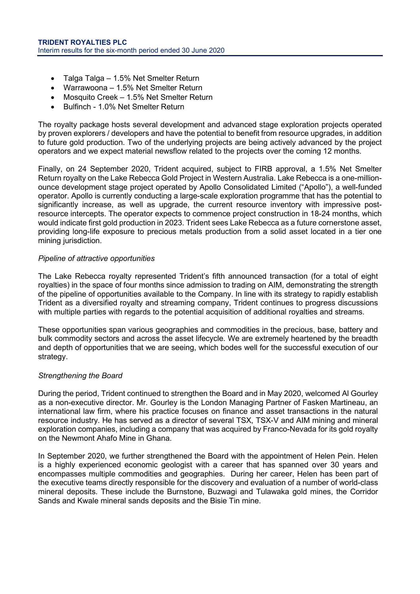- Talga Talga 1.5% Net Smelter Return
- Warrawoona 1.5% Net Smelter Return
- Mosquito Creek 1.5% Net Smelter Return
- Bulfinch 1.0% Net Smelter Return

The royalty package hosts several development and advanced stage exploration projects operated by proven explorers / developers and have the potential to benefit from resource upgrades, in addition to future gold production. Two of the underlying projects are being actively advanced by the project operators and we expect material newsflow related to the projects over the coming 12 months.

Finally, on 24 September 2020, Trident acquired, subject to FIRB approval, a 1.5% Net Smelter Return royalty on the Lake Rebecca Gold Project in Western Australia. Lake Rebecca is a one-millionounce development stage project operated by Apollo Consolidated Limited ("Apollo"), a well-funded operator. Apollo is currently conducting a large-scale exploration programme that has the potential to significantly increase, as well as upgrade, the current resource inventory with impressive postresource intercepts. The operator expects to commence project construction in 18-24 months, which would indicate first gold production in 2023. Trident sees Lake Rebecca as a future cornerstone asset, providing long-life exposure to precious metals production from a solid asset located in a tier one mining jurisdiction.

# *Pipeline of attractive opportunities*

The Lake Rebecca royalty represented Trident's fifth announced transaction (for a total of eight royalties) in the space of four months since admission to trading on AIM, demonstrating the strength of the pipeline of opportunities available to the Company. In line with its strategy to rapidly establish Trident as a diversified royalty and streaming company, Trident continues to progress discussions with multiple parties with regards to the potential acquisition of additional royalties and streams.

These opportunities span various geographies and commodities in the precious, base, battery and bulk commodity sectors and across the asset lifecycle. We are extremely heartened by the breadth and depth of opportunities that we are seeing, which bodes well for the successful execution of our strategy.

# *Strengthening the Board*

During the period, Trident continued to strengthen the Board and in May 2020, welcomed Al Gourley as a non-executive director. Mr. Gourley is the London Managing Partner of Fasken Martineau, an international law firm, where his practice focuses on finance and asset transactions in the natural resource industry. He has served as a director of several TSX, TSX-V and AIM mining and mineral exploration companies, including a company that was acquired by Franco-Nevada for its gold royalty on the Newmont Ahafo Mine in Ghana.

In September 2020, we further strengthened the Board with the appointment of Helen Pein. Helen is a highly experienced economic geologist with a career that has spanned over 30 years and encompasses multiple commodities and geographies. During her career, Helen has been part of the executive teams directly responsible for the discovery and evaluation of a number of world-class mineral deposits. These include the Burnstone, Buzwagi and Tulawaka gold mines, the Corridor Sands and Kwale mineral sands deposits and the Bisie Tin mine.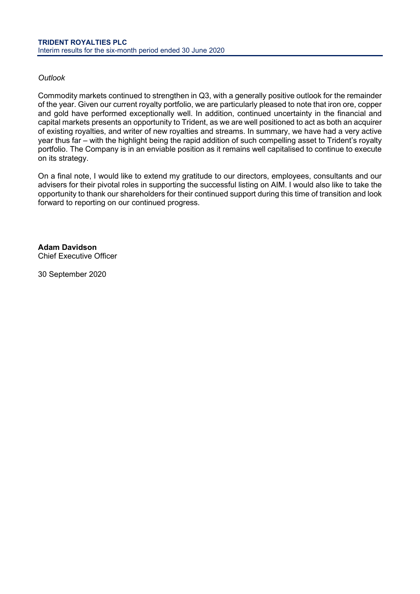# *Outlook*

Commodity markets continued to strengthen in Q3, with a generally positive outlook for the remainder of the year. Given our current royalty portfolio, we are particularly pleased to note that iron ore, copper and gold have performed exceptionally well. In addition, continued uncertainty in the financial and capital markets presents an opportunity to Trident, as we are well positioned to act as both an acquirer of existing royalties, and writer of new royalties and streams. In summary, we have had a very active year thus far – with the highlight being the rapid addition of such compelling asset to Trident's royalty portfolio. The Company is in an enviable position as it remains well capitalised to continue to execute on its strategy.

On a final note, I would like to extend my gratitude to our directors, employees, consultants and our advisers for their pivotal roles in supporting the successful listing on AIM. I would also like to take the opportunity to thank our shareholders for their continued support during this time of transition and look forward to reporting on our continued progress.

**Adam Davidson**  Chief Executive Officer

30 September 2020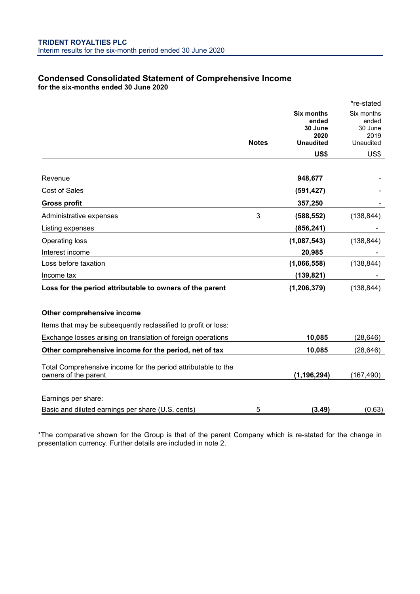# <span id="page-6-0"></span>**Condensed Consolidated Statement of Comprehensive Income for the six-months ended 30 June 2020**

|                                                                                       |              |                            | *re-stated          |
|---------------------------------------------------------------------------------------|--------------|----------------------------|---------------------|
|                                                                                       |              | <b>Six months</b><br>ended | Six months<br>ended |
|                                                                                       |              | 30 June                    | 30 June             |
|                                                                                       | <b>Notes</b> | 2020<br><b>Unaudited</b>   | 2019<br>Unaudited   |
|                                                                                       |              | US\$                       | US\$                |
|                                                                                       |              |                            |                     |
| Revenue                                                                               |              | 948,677                    |                     |
| <b>Cost of Sales</b>                                                                  |              | (591, 427)                 |                     |
| <b>Gross profit</b>                                                                   |              | 357,250                    |                     |
| Administrative expenses                                                               | 3            | (588, 552)                 | (138, 844)          |
| Listing expenses                                                                      |              | (856, 241)                 |                     |
| <b>Operating loss</b>                                                                 |              | (1,087,543)                | (138, 844)          |
| Interest income                                                                       |              | 20,985                     |                     |
| Loss before taxation                                                                  |              | (1,066,558)                | (138, 844)          |
| Income tax                                                                            |              | (139, 821)                 |                     |
| Loss for the period attributable to owners of the parent                              |              | (1, 206, 379)              | (138, 844)          |
|                                                                                       |              |                            |                     |
| Other comprehensive income                                                            |              |                            |                     |
| Items that may be subsequently reclassified to profit or loss:                        |              |                            |                     |
| Exchange losses arising on translation of foreign operations                          |              | 10,085                     | (28, 646)           |
| Other comprehensive income for the period, net of tax                                 |              | 10,085                     | (28, 646)           |
| Total Comprehensive income for the period attributable to the<br>owners of the parent |              | (1, 196, 294)              | (167, 490)          |
|                                                                                       |              |                            |                     |
| Earnings per share:                                                                   |              |                            |                     |
| Basic and diluted earnings per share (U.S. cents)                                     | 5            | (3.49)                     | (0.63)              |

\*The comparative shown for the Group is that of the parent Company which is re-stated for the change in presentation currency. Further details are included in note 2.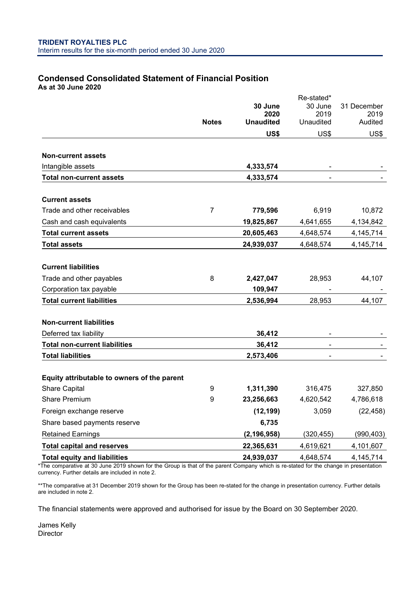### <span id="page-7-0"></span>**Condensed Consolidated Statement of Financial Position As at 30 June 2020**

|                                             |              |                  | Re-stated*     |             |
|---------------------------------------------|--------------|------------------|----------------|-------------|
|                                             |              | 30 June          | 30 June        | 31 December |
|                                             |              | 2020             | 2019           | 2019        |
|                                             | <b>Notes</b> | <b>Unaudited</b> | Unaudited      | Audited     |
|                                             |              | US\$             | US\$           | US\$        |
| <b>Non-current assets</b>                   |              |                  |                |             |
| Intangible assets                           |              | 4,333,574        |                |             |
| <b>Total non-current assets</b>             |              | 4,333,574        |                |             |
| <b>Current assets</b>                       |              |                  |                |             |
| Trade and other receivables                 | 7            | 779,596          | 6,919          | 10,872      |
| Cash and cash equivalents                   |              | 19,825,867       | 4,641,655      | 4,134,842   |
| <b>Total current assets</b>                 |              | 20,605,463       | 4,648,574      | 4,145,714   |
| <b>Total assets</b>                         |              | 24,939,037       | 4,648,574      | 4, 145, 714 |
|                                             |              |                  |                |             |
| <b>Current liabilities</b>                  |              |                  |                |             |
| Trade and other payables                    | 8            | 2,427,047        | 28,953         | 44,107      |
| Corporation tax payable                     |              | 109,947          |                |             |
| <b>Total current liabilities</b>            |              | 2,536,994        | 28,953         | 44,107      |
| <b>Non-current liabilities</b>              |              |                  |                |             |
| Deferred tax liability                      |              | 36,412           |                |             |
| <b>Total non-current liabilities</b>        |              | 36,412           | $\blacksquare$ |             |
| <b>Total liabilities</b>                    |              | 2,573,406        |                |             |
| Equity attributable to owners of the parent |              |                  |                |             |
| <b>Share Capital</b>                        | 9            | 1,311,390        | 316,475        | 327,850     |
| <b>Share Premium</b>                        | 9            | 23,256,663       | 4,620,542      | 4,786,618   |
| Foreign exchange reserve                    |              | (12, 199)        | 3,059          | (22, 458)   |
| Share based payments reserve                |              | 6,735            |                |             |
| <b>Retained Earnings</b>                    |              | (2, 196, 958)    | (320, 455)     | (990, 403)  |
| <b>Total capital and reserves</b>           |              | 22,365,631       | 4,619,621      | 4,101,607   |
| <b>Total equity and liabilities</b>         |              | 24,939,037       | 4,648,574      | 4,145,714   |

\*The comparative at 30 June 2019 shown for the Group is that of the parent Company which is re-stated for the change in presentation currency. Further details are included in note 2.

\*\*The comparative at 31 December 2019 shown for the Group has been re-stated for the change in presentation currency. Further details are included in note 2.

The financial statements were approved and authorised for issue by the Board on 30 September 2020.

James Kelly Director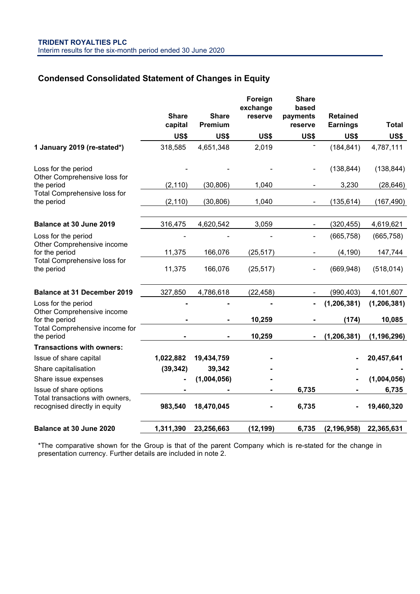# <span id="page-8-0"></span>**Condensed Consolidated Statement of Changes in Equity**

|                                                                  | <b>Share</b><br>capital | <b>Share</b><br>Premium | Foreign<br>exchange<br>reserve | <b>Share</b><br>based<br>payments<br>reserve | <b>Retained</b><br><b>Earnings</b> | <b>Total</b>  |
|------------------------------------------------------------------|-------------------------|-------------------------|--------------------------------|----------------------------------------------|------------------------------------|---------------|
|                                                                  | US\$                    | US\$                    | US\$                           | US\$                                         | US\$                               | US\$          |
| 1 January 2019 (re-stated*)                                      | 318,585                 | 4,651,348               | 2,019                          |                                              | (184, 841)                         | 4,787,111     |
| Loss for the period<br>Other Comprehensive loss for              |                         |                         |                                |                                              | (138, 844)                         | (138, 844)    |
| the period                                                       | (2, 110)                | (30, 806)               | 1,040                          |                                              | 3,230                              | (28, 646)     |
| Total Comprehensive loss for<br>the period                       | (2, 110)                | (30, 806)               | 1,040                          |                                              | (135, 614)                         | (167, 490)    |
| Balance at 30 June 2019                                          | 316,475                 | 4,620,542               | 3,059                          | $\overline{\phantom{0}}$                     | (320, 455)                         | 4,619,621     |
| Loss for the period<br>Other Comprehensive income                |                         |                         |                                |                                              | (665, 758)                         | (665, 758)    |
| for the period                                                   | 11,375                  | 166,076                 | (25, 517)                      |                                              | (4, 190)                           | 147,744       |
| Total Comprehensive loss for<br>the period                       | 11,375                  | 166,076                 | (25, 517)                      | $\blacksquare$                               | (669, 948)                         | (518, 014)    |
| <b>Balance at 31 December 2019</b>                               | 327,850                 | 4,786,618               | (22, 458)                      |                                              | (990, 403)                         | 4,101,607     |
| Loss for the period<br>Other Comprehensive income                |                         |                         |                                | -                                            | (1, 206, 381)                      | (1, 206, 381) |
| for the period                                                   |                         |                         | 10,259                         |                                              | (174)                              | 10,085        |
| Total Comprehensive income for<br>the period                     |                         |                         | 10,259                         |                                              | (1, 206, 381)                      | (1, 196, 296) |
| <b>Transactions with owners:</b>                                 |                         |                         |                                |                                              |                                    |               |
| Issue of share capital                                           | 1,022,882               | 19,434,759              |                                |                                              |                                    | 20,457,641    |
| Share capitalisation                                             | (39, 342)               | 39,342                  |                                |                                              |                                    |               |
| Share issue expenses                                             |                         | (1,004,056)             |                                |                                              |                                    | (1,004,056)   |
| Issue of share options                                           |                         |                         |                                | 6,735                                        |                                    | 6,735         |
| Total transactions with owners,<br>recognised directly in equity | 983,540                 | 18,470,045              |                                | 6,735                                        |                                    | 19,460,320    |
| <b>Balance at 30 June 2020</b>                                   | 1,311,390               | 23,256,663              | (12, 199)                      | 6,735                                        | (2, 196, 958)                      | 22,365,631    |

\*The comparative shown for the Group is that of the parent Company which is re-stated for the change in presentation currency. Further details are included in note 2.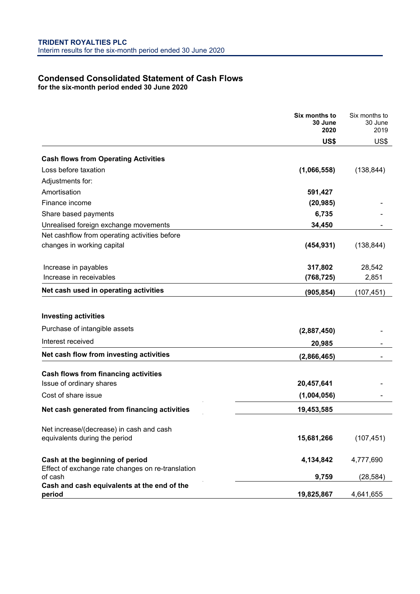## <span id="page-9-0"></span>**Condensed Consolidated Statement of Cash Flows for the six-month period ended 30 June 2020**

|                                                              | Six months to<br>30 June<br>2020 | Six months to<br>30 June<br>2019 |
|--------------------------------------------------------------|----------------------------------|----------------------------------|
|                                                              | US\$                             | US\$                             |
| <b>Cash flows from Operating Activities</b>                  |                                  |                                  |
| Loss before taxation                                         | (1,066,558)                      | (138, 844)                       |
| Adjustments for:                                             |                                  |                                  |
| Amortisation                                                 | 591,427                          |                                  |
| Finance income                                               | (20, 985)                        |                                  |
| Share based payments                                         | 6,735                            |                                  |
| Unrealised foreign exchange movements                        | 34,450                           |                                  |
| Net cashflow from operating activities before                |                                  |                                  |
| changes in working capital                                   | (454, 931)                       | (138, 844)                       |
| Increase in payables                                         | 317,802                          | 28,542                           |
| Increase in receivables                                      | (768, 725)                       | 2,851                            |
| Net cash used in operating activities                        | (905, 854)                       | (107, 451)                       |
| <b>Investing activities</b>                                  |                                  |                                  |
| Purchase of intangible assets                                | (2,887,450)                      |                                  |
| Interest received                                            | 20,985                           |                                  |
| Net cash flow from investing activities                      | (2,866,465)                      |                                  |
| <b>Cash flows from financing activities</b>                  |                                  |                                  |
| Issue of ordinary shares                                     | 20,457,641                       |                                  |
| Cost of share issue                                          | (1,004,056)                      |                                  |
| Net cash generated from financing activities                 | 19,453,585                       |                                  |
| Net increase/(decrease) in cash and cash                     |                                  |                                  |
| equivalents during the period                                | 15,681,266                       | (107, 451)                       |
| Cash at the beginning of period                              | 4,134,842                        | 4,777,690                        |
| Effect of exchange rate changes on re-translation<br>of cash | 9,759                            | (28, 584)                        |
| Cash and cash equivalents at the end of the<br>period        | 19,825,867                       | 4,641,655                        |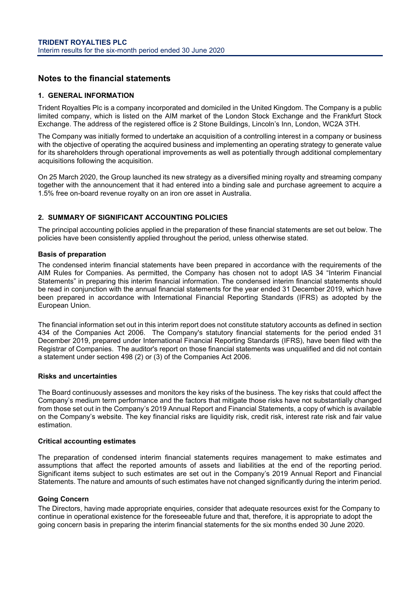# <span id="page-10-0"></span>**Notes to the financial statements**

#### **1. GENERAL INFORMATION**

Trident Royalties Plc is a company incorporated and domiciled in the United Kingdom. The Company is a public limited company, which is listed on the AIM market of the London Stock Exchange and the Frankfurt Stock Exchange. The address of the registered office is 2 Stone Buildings, Lincoln's Inn, London, WC2A 3TH.

The Company was initially formed to undertake an acquisition of a controlling interest in a company or business with the objective of operating the acquired business and implementing an operating strategy to generate value for its shareholders through operational improvements as well as potentially through additional complementary acquisitions following the acquisition.

On 25 March 2020, the Group launched its new strategy as a diversified mining royalty and streaming company together with the announcement that it had entered into a binding sale and purchase agreement to acquire a 1.5% free on-board revenue royalty on an iron ore asset in Australia.

### **2. SUMMARY OF SIGNIFICANT ACCOUNTING POLICIES**

The principal accounting policies applied in the preparation of these financial statements are set out below. The policies have been consistently applied throughout the period, unless otherwise stated.

#### **Basis of preparation**

The condensed interim financial statements have been prepared in accordance with the requirements of the AIM Rules for Companies. As permitted, the Company has chosen not to adopt IAS 34 "Interim Financial Statements" in preparing this interim financial information. The condensed interim financial statements should be read in conjunction with the annual financial statements for the year ended 31 December 2019, which have been prepared in accordance with International Financial Reporting Standards (IFRS) as adopted by the European Union.

The financial information set out in this interim report does not constitute statutory accounts as defined in section 434 of the Companies Act 2006. The Company's statutory financial statements for the period ended 31 December 2019, prepared under International Financial Reporting Standards (IFRS), have been filed with the Registrar of Companies. The auditor's report on those financial statements was unqualified and did not contain a statement under section 498 (2) or (3) of the Companies Act 2006.

#### **Risks and uncertainties**

The Board continuously assesses and monitors the key risks of the business. The key risks that could affect the Company's medium term performance and the factors that mitigate those risks have not substantially changed from those set out in the Company's 2019 Annual Report and Financial Statements, a copy of which is available on the Company's website. The key financial risks are liquidity risk, credit risk, interest rate risk and fair value estimation.

#### **Critical accounting estimates**

The preparation of condensed interim financial statements requires management to make estimates and assumptions that affect the reported amounts of assets and liabilities at the end of the reporting period. Significant items subject to such estimates are set out in the Company's 2019 Annual Report and Financial Statements. The nature and amounts of such estimates have not changed significantly during the interim period.

#### **Going Concern**

The Directors, having made appropriate enquiries, consider that adequate resources exist for the Company to continue in operational existence for the foreseeable future and that, therefore, it is appropriate to adopt the going concern basis in preparing the interim financial statements for the six months ended 30 June 2020.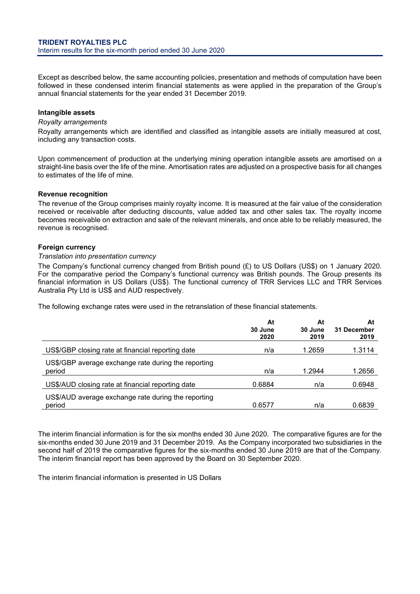Except as described below, the same accounting policies, presentation and methods of computation have been followed in these condensed interim financial statements as were applied in the preparation of the Group's annual financial statements for the year ended 31 December 2019.

### **Intangible assets**

### *Royalty arrangements*

Royalty arrangements which are identified and classified as intangible assets are initially measured at cost, including any transaction costs.

Upon commencement of production at the underlying mining operation intangible assets are amortised on a straight-line basis over the life of the mine. Amortisation rates are adjusted on a prospective basis for all changes to estimates of the life of mine.

#### **Revenue recognition**

The revenue of the Group comprises mainly royalty income. It is measured at the fair value of the consideration received or receivable after deducting discounts, value added tax and other sales tax. The royalty income becomes receivable on extraction and sale of the relevant minerals, and once able to be reliably measured, the revenue is recognised.

#### **Foreign currency**

#### *Translation into presentation currency*

The Company's functional currency changed from British pound (£) to US Dollars (US\$) on 1 January 2020. For the comparative period the Company's functional currency was British pounds. The Group presents its financial information in US Dollars (US\$). The functional currency of TRR Services LLC and TRR Services Australia Pty Ltd is US\$ and AUD respectively.

The following exchange rates were used in the retranslation of these financial statements.

|                                                               | At<br>30 June<br>2020 | At<br>30 June<br>2019 | At<br>31 December<br>2019 |
|---------------------------------------------------------------|-----------------------|-----------------------|---------------------------|
| US\$/GBP closing rate at financial reporting date             | n/a                   | 1.2659                | 1.3114                    |
| US\$/GBP average exchange rate during the reporting<br>period | n/a                   | 1.2944                | 1.2656                    |
| US\$/AUD closing rate at financial reporting date             | 0.6884                | n/a                   | 0.6948                    |
| US\$/AUD average exchange rate during the reporting<br>period | 0.6577                | n/a                   | 0.6839                    |

The interim financial information is for the six months ended 30 June 2020. The comparative figures are for the six-months ended 30 June 2019 and 31 December 2019. As the Company incorporated two subsidiaries in the second half of 2019 the comparative figures for the six-months ended 30 June 2019 are that of the Company. The interim financial report has been approved by the Board on 30 September 2020.

The interim financial information is presented in US Dollars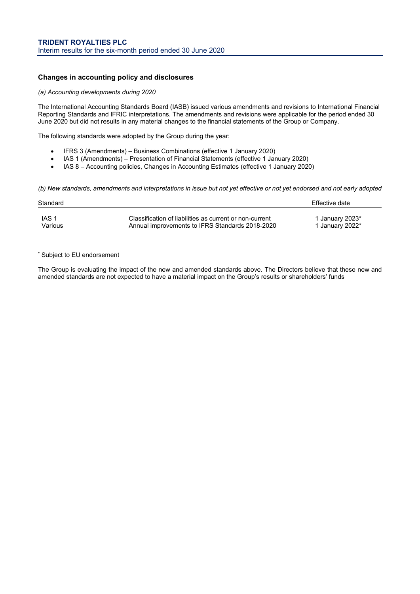### **Changes in accounting policy and disclosures**

#### *(a) Accounting developments during 2020*

The International Accounting Standards Board (IASB) issued various amendments and revisions to International Financial Reporting Standards and IFRIC interpretations. The amendments and revisions were applicable for the period ended 30 June 2020 but did not results in any material changes to the financial statements of the Group or Company.

The following standards were adopted by the Group during the year:

- IFRS 3 (Amendments) Business Combinations (effective 1 January 2020)
- IAS 1 (Amendments) Presentation of Financial Statements (effective 1 January 2020)
- IAS 8 Accounting policies, Changes in Accounting Estimates (effective 1 January 2020)

*(b) New standards, amendments and interpretations in issue but not yet effective or not yet endorsed and not early adopted*

| Standard |                                                         | Effective date  |
|----------|---------------------------------------------------------|-----------------|
| IAS 1    | Classification of liabilities as current or non-current | 1 January 2023* |
| Various  | Annual improvements to IFRS Standards 2018-2020         | 1 January 2022* |

#### \* Subject to EU endorsement

The Group is evaluating the impact of the new and amended standards above. The Directors believe that these new and amended standards are not expected to have a material impact on the Group's results or shareholders' funds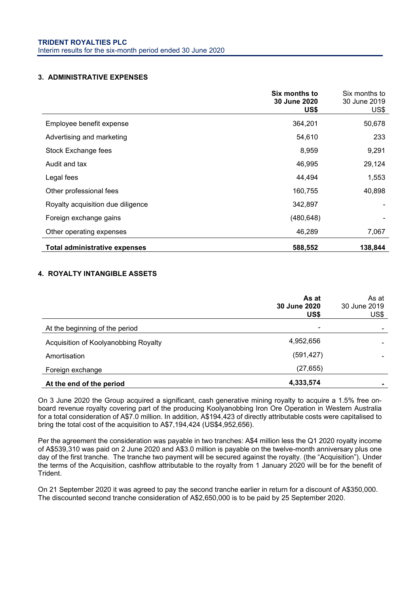### **3. ADMINISTRATIVE EXPENSES**

|                                      | Six months to<br><b>30 June 2020</b><br>US\$ | Six months to<br>30 June 2019<br>US\$ |
|--------------------------------------|----------------------------------------------|---------------------------------------|
| Employee benefit expense             | 364,201                                      | 50,678                                |
| Advertising and marketing            | 54,610                                       | 233                                   |
| Stock Exchange fees                  | 8,959                                        | 9,291                                 |
| Audit and tax                        | 46,995                                       | 29,124                                |
| Legal fees                           | 44,494                                       | 1,553                                 |
| Other professional fees              | 160,755                                      | 40,898                                |
| Royalty acquisition due diligence    | 342,897                                      |                                       |
| Foreign exchange gains               | (480, 648)                                   |                                       |
| Other operating expenses             | 46,289                                       | 7,067                                 |
| <b>Total administrative expenses</b> | 588,552                                      | 138,844                               |

# **4. ROYALTY INTANGIBLE ASSETS**

|                                      | As at<br>30 June 2020<br>US\$ | As at<br>30 June 2019<br>US\$ |
|--------------------------------------|-------------------------------|-------------------------------|
| At the beginning of the period       | ۰                             |                               |
| Acquisition of Koolyanobbing Royalty | 4,952,656                     |                               |
| Amortisation                         | (591, 427)                    |                               |
| Foreign exchange                     | (27, 655)                     |                               |
| At the end of the period             | 4,333,574                     |                               |

On 3 June 2020 the Group acquired a significant, cash generative mining royalty to acquire a 1.5% free onboard revenue royalty covering part of the producing Koolyanobbing Iron Ore Operation in Western Australia for a total consideration of A\$7.0 million. In addition, A\$194,423 of directly attributable costs were capitalised to bring the total cost of the acquisition to A\$7,194,424 (US\$4,952,656).

Per the agreement the consideration was payable in two tranches: A\$4 million less the Q1 2020 royalty income of A\$539,310 was paid on 2 June 2020 and A\$3.0 million is payable on the twelve-month anniversary plus one day of the first tranche. The tranche two payment will be secured against the royalty. (the "Acquisition"). Under the terms of the Acquisition, cashflow attributable to the royalty from 1 January 2020 will be for the benefit of Trident.

On 21 September 2020 it was agreed to pay the second tranche earlier in return for a discount of A\$350,000. The discounted second tranche consideration of A\$2,650,000 is to be paid by 25 September 2020.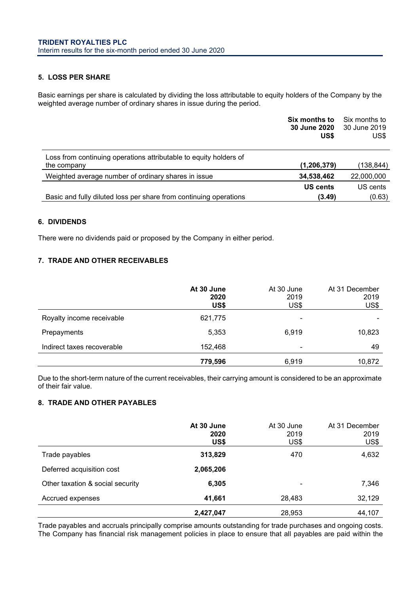### **5. LOSS PER SHARE**

Basic earnings per share is calculated by dividing the loss attributable to equity holders of the Company by the weighted average number of ordinary shares in issue during the period.

|                                                                                  | Six months to<br>30 June 2020<br>US\$ | Six months to<br>30 June 2019<br>US\$ |
|----------------------------------------------------------------------------------|---------------------------------------|---------------------------------------|
| Loss from continuing operations attributable to equity holders of<br>the company | (1, 206, 379)                         | (138,844)                             |
| Weighted average number of ordinary shares in issue                              | 34,538,462                            | 22,000,000                            |
| Basic and fully diluted loss per share from continuing operations                | <b>US cents</b><br>(3.49)             | US cents<br>(0.63)                    |

# **6. DIVIDENDS**

There were no dividends paid or proposed by the Company in either period.

# **7. TRADE AND OTHER RECEIVABLES**

|                            | At 30 June<br>2020<br>US\$ | At 30 June<br>2019<br>US\$ | At 31 December<br>2019<br>US\$ |
|----------------------------|----------------------------|----------------------------|--------------------------------|
| Royalty income receivable  | 621,775                    | -                          |                                |
| Prepayments                | 5,353                      | 6,919                      | 10,823                         |
| Indirect taxes recoverable | 152,468                    | -                          | 49                             |
|                            | 779,596                    | 6,919                      | 10,872                         |

Due to the short-term nature of the current receivables, their carrying amount is considered to be an approximate of their fair value.

## **8. TRADE AND OTHER PAYABLES**

|                                  | At 30 June<br>2020<br>US\$ | At 30 June<br>2019<br>US\$ | At 31 December<br>2019<br>US\$ |
|----------------------------------|----------------------------|----------------------------|--------------------------------|
| Trade payables                   | 313,829                    | 470                        | 4,632                          |
| Deferred acquisition cost        | 2,065,206                  |                            |                                |
| Other taxation & social security | 6,305                      | -                          | 7,346                          |
| Accrued expenses                 | 41,661                     | 28,483                     | 32,129                         |
|                                  | 2,427,047                  | 28,953                     | 44,107                         |

Trade payables and accruals principally comprise amounts outstanding for trade purchases and ongoing costs. The Company has financial risk management policies in place to ensure that all payables are paid within the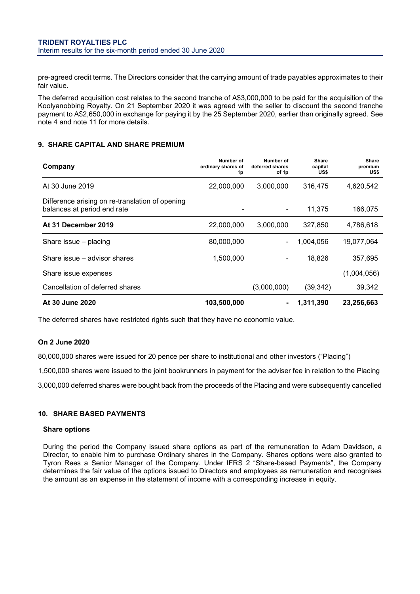pre-agreed credit terms. The Directors consider that the carrying amount of trade payables approximates to their fair value.

The deferred acquisition cost relates to the second tranche of A\$3,000,000 to be paid for the acquisition of the Koolyanobbing Royalty. On 21 September 2020 it was agreed with the seller to discount the second tranche payment to A\$2,650,000 in exchange for paying it by the 25 September 2020, earlier than originally agreed. See note 4 and note 11 for more details.

# **9. SHARE CAPITAL AND SHARE PREMIUM**

| Company                                                                        | Number of<br>ordinary shares of<br>1p | Number of<br>deferred shares<br>of 1p | <b>Share</b><br>capital<br>US\$ | Share<br>premium<br>US\$ |
|--------------------------------------------------------------------------------|---------------------------------------|---------------------------------------|---------------------------------|--------------------------|
| At 30 June 2019                                                                | 22,000,000                            | 3,000,000                             | 316,475                         | 4,620,542                |
| Difference arising on re-translation of opening<br>balances at period end rate |                                       |                                       | 11,375                          | 166,075                  |
| At 31 December 2019                                                            | 22,000,000                            | 3,000,000                             | 327,850                         | 4,786,618                |
| Share issue – placing                                                          | 80,000,000                            |                                       | 1,004,056                       | 19,077,064               |
| Share issue - advisor shares                                                   | 1,500,000                             |                                       | 18,826                          | 357,695                  |
| Share issue expenses                                                           |                                       |                                       |                                 | (1,004,056)              |
| Cancellation of deferred shares                                                |                                       | (3,000,000)                           | (39, 342)                       | 39,342                   |
| At 30 June 2020                                                                | 103,500,000                           |                                       | 1,311,390                       | 23,256,663               |

The deferred shares have restricted rights such that they have no economic value.

### **On 2 June 2020**

80,000,000 shares were issued for 20 pence per share to institutional and other investors ("Placing")

1,500,000 shares were issued to the joint bookrunners in payment for the adviser fee in relation to the Placing

3,000,000 deferred shares were bought back from the proceeds of the Placing and were subsequently cancelled

### **10. SHARE BASED PAYMENTS**

#### **Share options**

During the period the Company issued share options as part of the remuneration to Adam Davidson, a Director, to enable him to purchase Ordinary shares in the Company. Shares options were also granted to Tyron Rees a Senior Manager of the Company. Under IFRS 2 "Share-based Payments", the Company determines the fair value of the options issued to Directors and employees as remuneration and recognises the amount as an expense in the statement of income with a corresponding increase in equity.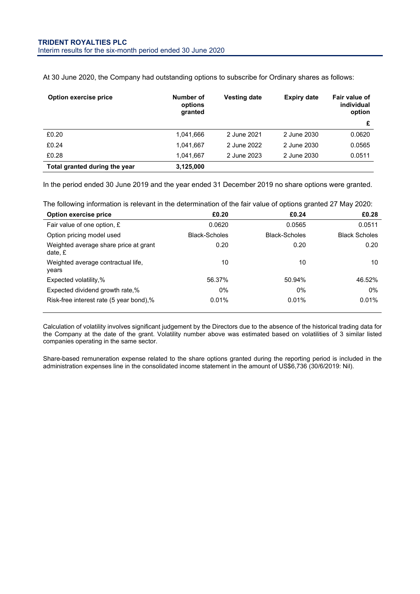| Option exercise price         | Number of<br>options<br>granted | <b>Vesting date</b> | <b>Expiry date</b> | Fair value of<br>individual<br>option |
|-------------------------------|---------------------------------|---------------------|--------------------|---------------------------------------|
|                               |                                 |                     |                    | £                                     |
| £0.20                         | 1.041.666                       | 2 June 2021         | 2 June 2030        | 0.0620                                |
| £0.24                         | 1.041.667                       | 2 June 2022         | 2 June 2030        | 0.0565                                |
| £0.28                         | 1.041.667                       | 2 June 2023         | 2 June 2030        | 0.0511                                |
| Total granted during the year | 3,125,000                       |                     |                    |                                       |

At 30 June 2020, the Company had outstanding options to subscribe for Ordinary shares as follows:

In the period ended 30 June 2019 and the year ended 31 December 2019 no share options were granted.

The following information is relevant in the determination of the fair value of options granted 27 May 2020:

| Option exercise price                            | £0.20                | £0.24                | £0.28                |
|--------------------------------------------------|----------------------|----------------------|----------------------|
| Fair value of one option, £                      | 0.0620               | 0.0565               | 0.0511               |
| Option pricing model used                        | <b>Black-Scholes</b> | <b>Black-Scholes</b> | <b>Black Scholes</b> |
| Weighted average share price at grant<br>date. £ | 0.20                 | 0.20                 | 0.20                 |
| Weighted average contractual life,<br>years      | 10                   | 10                   | 10                   |
| Expected volatility,%                            | 56.37%               | 50.94%               | 46.52%               |
| Expected dividend growth rate,%                  | $0\%$                | $0\%$                | 0%                   |
| Risk-free interest rate (5 year bond),%          | 0.01%                | 0.01%                | 0.01%                |

Calculation of volatility involves significant judgement by the Directors due to the absence of the historical trading data for the Company at the date of the grant. Volatility number above was estimated based on volatilities of 3 similar listed companies operating in the same sector.

Share-based remuneration expense related to the share options granted during the reporting period is included in the administration expenses line in the consolidated income statement in the amount of US\$6,736 (30/6/2019: Nil).